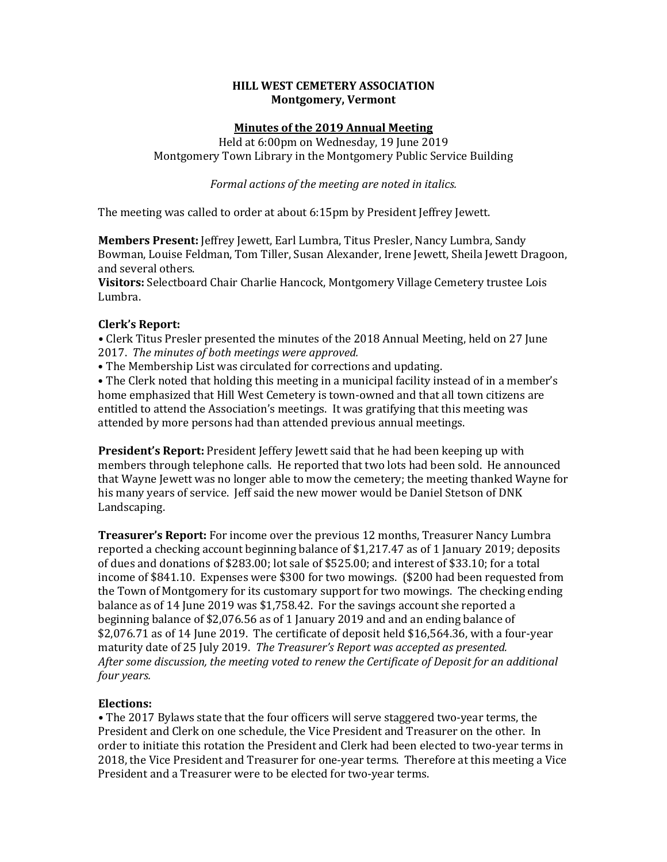## **HILL WEST CEMETERY ASSOCIATION Montgomery, Vermont**

# **Minutes of the 2019 Annual Meeting**

Held at 6:00pm on Wednesday, 19 June 2019 Montgomery Town Library in the Montgomery Public Service Building

*Formal actions of the meeting are noted in italics.* 

The meeting was called to order at about 6:15pm by President Jeffrey Jewett.

**Members Present:** Jeffrey Jewett, Earl Lumbra, Titus Presler, Nancy Lumbra, Sandy Bowman, Louise Feldman, Tom Tiller, Susan Alexander, Irene Jewett, Sheila Jewett Dragoon, and several others.

**Visitors:** Selectboard Chair Charlie Hancock, Montgomery Village Cemetery trustee Lois Lumbra. 

## **Clerk's Report:**

• Clerk Titus Presler presented the minutes of the 2018 Annual Meeting, held on 27 June 2017. The minutes of both meetings were approved.

• The Membership List was circulated for corrections and updating.

• The Clerk noted that holding this meeting in a municipal facility instead of in a member's home emphasized that Hill West Cemetery is town-owned and that all town citizens are entitled to attend the Association's meetings. It was gratifying that this meeting was attended by more persons had than attended previous annual meetings.

**President's Report:** President Jeffery Jewett said that he had been keeping up with members through telephone calls. He reported that two lots had been sold. He announced that Wayne Jewett was no longer able to mow the cemetery; the meeting thanked Wayne for his many years of service. Jeff said the new mower would be Daniel Stetson of DNK Landscaping. 

**Treasurer's Report:** For income over the previous 12 months, Treasurer Nancy Lumbra reported a checking account beginning balance of  $$1,217.47$  as of 1 January 2019; deposits of dues and donations of  $$283.00$ ; lot sale of  $$525.00$ ; and interest of  $$33.10$ ; for a total income of \$841.10. Expenses were \$300 for two mowings. (\$200 had been requested from the Town of Montgomery for its customary support for two mowings. The checking ending balance as of 14 June 2019 was \$1,758.42. For the savings account she reported a beginning balance of  $$2,076.56$  as of 1 January 2019 and and an ending balance of  $$2,076.71$  as of 14 June 2019. The certificate of deposit held \$16,564.36, with a four-year maturity date of 25 July 2019. The Treasurer's Report was accepted as presented. After some discussion, the meeting voted to renew the Certificate of Deposit for an additional *four* years.

## **Elections:**

• The 2017 Bylaws state that the four officers will serve staggered two-year terms, the President and Clerk on one schedule, the Vice President and Treasurer on the other. In order to initiate this rotation the President and Clerk had been elected to two-year terms in 2018, the Vice President and Treasurer for one-year terms. Therefore at this meeting a Vice President and a Treasurer were to be elected for two-year terms.